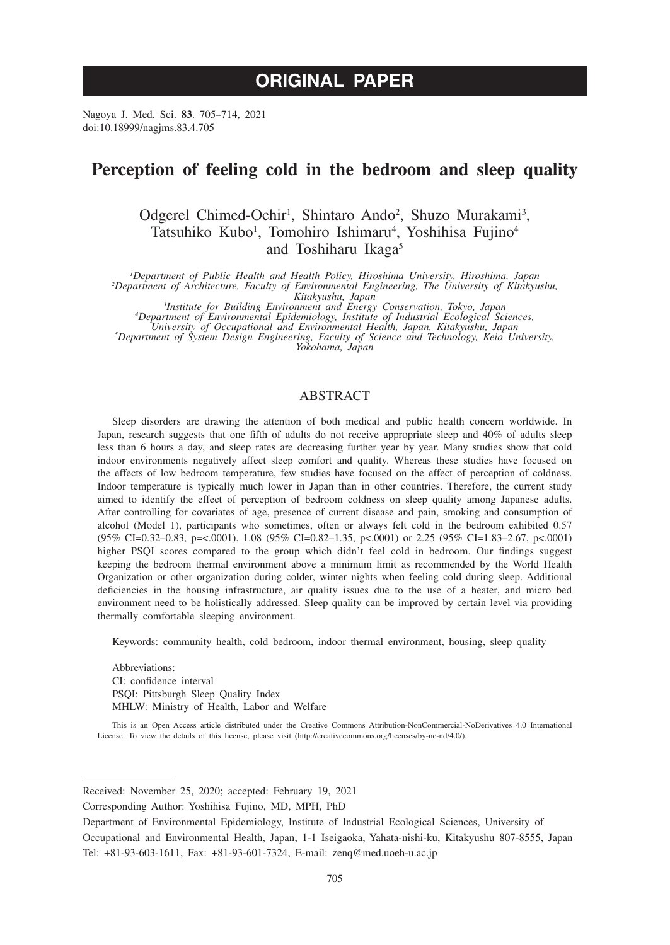# **ORIGINAL PAPER**

Nagoya J. Med. Sci. **83**. 705–714, 2021 doi:10.18999/nagjms.83.4.705

## **Perception of feeling cold in the bedroom and sleep quality**

Odgerel Chimed-Ochir<sup>1</sup>, Shintaro Ando<sup>2</sup>, Shuzo Murakami<sup>3</sup>, Tatsuhiko Kubo<sup>1</sup>, Tomohiro Ishimaru<sup>4</sup>, Yoshihisa Fujino<sup>4</sup> and Toshiharu Ikaga5

*1 Department of Public Health and Health Policy, Hiroshima University, Hiroshima, Japan <sup>2</sup> Department of Architecture, Faculty of Environmental Engineering, The University of Kitakyushu,* 

*Kitakyushu, Japan <sup>3</sup> Institute for Building Environment and Energy Conservation, Tokyo, Japan <sup>4</sup>*

*Department of Environmental Epidemiology, Institute of Industrial Ecological Sciences,* 

*University of Occupational and Environmental Health, Japan, Kitakyushu, Japan <sup>5</sup> Department of System Design Engineering, Faculty of Science and Technology, Keio University,* 

*Yokohama, Japan*

## ABSTRACT

Sleep disorders are drawing the attention of both medical and public health concern worldwide. In Japan, research suggests that one fifth of adults do not receive appropriate sleep and 40% of adults sleep less than 6 hours a day, and sleep rates are decreasing further year by year. Many studies show that cold indoor environments negatively affect sleep comfort and quality. Whereas these studies have focused on the effects of low bedroom temperature, few studies have focused on the effect of perception of coldness. Indoor temperature is typically much lower in Japan than in other countries. Therefore, the current study aimed to identify the effect of perception of bedroom coldness on sleep quality among Japanese adults. After controlling for covariates of age, presence of current disease and pain, smoking and consumption of alcohol (Model 1), participants who sometimes, often or always felt cold in the bedroom exhibited 0.57 (95% CI=0.32–0.83, p=<.0001), 1.08 (95% CI=0.82–1.35, p<.0001) or 2.25 (95% CI=1.83–2.67, p<.0001) higher PSQI scores compared to the group which didn't feel cold in bedroom. Our findings suggest keeping the bedroom thermal environment above a minimum limit as recommended by the World Health Organization or other organization during colder, winter nights when feeling cold during sleep. Additional deficiencies in the housing infrastructure, air quality issues due to the use of a heater, and micro bed environment need to be holistically addressed. Sleep quality can be improved by certain level via providing thermally comfortable sleeping environment.

Keywords: community health, cold bedroom, indoor thermal environment, housing, sleep quality

Abbreviations: CI: confidence interval PSQI: Pittsburgh Sleep Quality Index MHLW: Ministry of Health, Labor and Welfare

This is an Open Access article distributed under the Creative Commons Attribution-NonCommercial-NoDerivatives 4.0 International License. To view the details of this license, please visit (http://creativecommons.org/licenses/by-nc-nd/4.0/).

Received: November 25, 2020; accepted: February 19, 2021

Corresponding Author: Yoshihisa Fujino, MD, MPH, PhD

Department of Environmental Epidemiology, Institute of Industrial Ecological Sciences, University of Occupational and Environmental Health, Japan, 1-1 Iseigaoka, Yahata-nishi-ku, Kitakyushu 807-8555, Japan Tel: +81-93-603-1611, Fax: +81-93-601-7324, E-mail: zenq@med.uoeh-u.ac.jp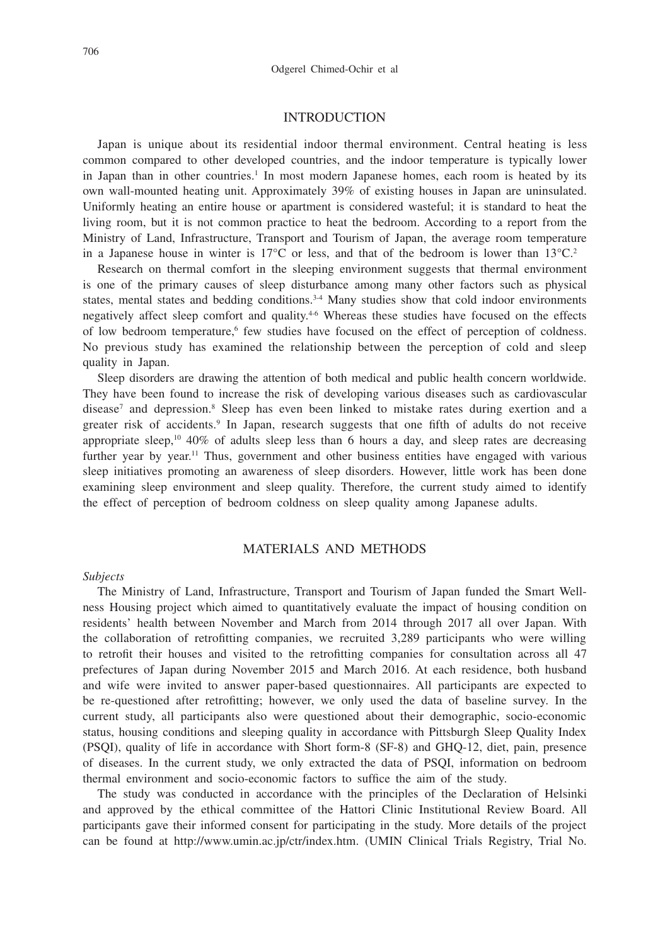## **INTRODUCTION**

Japan is unique about its residential indoor thermal environment. Central heating is less common compared to other developed countries, and the indoor temperature is typically lower in Japan than in other countries.<sup>1</sup> In most modern Japanese homes, each room is heated by its own wall-mounted heating unit. Approximately 39% of existing houses in Japan are uninsulated. Uniformly heating an entire house or apartment is considered wasteful; it is standard to heat the living room, but it is not common practice to heat the bedroom. According to a report from the Ministry of Land, Infrastructure, Transport and Tourism of Japan, the average room temperature in a Japanese house in winter is 17 $\degree$ C or less, and that of the bedroom is lower than 13 $\degree$ C.<sup>2</sup>

Research on thermal comfort in the sleeping environment suggests that thermal environment is one of the primary causes of sleep disturbance among many other factors such as physical states, mental states and bedding conditions.<sup>3-4</sup> Many studies show that cold indoor environments negatively affect sleep comfort and quality.<sup>4-6</sup> Whereas these studies have focused on the effects of low bedroom temperature,<sup>6</sup> few studies have focused on the effect of perception of coldness. No previous study has examined the relationship between the perception of cold and sleep quality in Japan.

Sleep disorders are drawing the attention of both medical and public health concern worldwide. They have been found to increase the risk of developing various diseases such as cardiovascular disease<sup>7</sup> and depression.<sup>8</sup> Sleep has even been linked to mistake rates during exertion and a greater risk of accidents.<sup>9</sup> In Japan, research suggests that one fifth of adults do not receive appropriate sleep,<sup>10</sup> 40% of adults sleep less than 6 hours a day, and sleep rates are decreasing further year by year.<sup>11</sup> Thus, government and other business entities have engaged with various sleep initiatives promoting an awareness of sleep disorders. However, little work has been done examining sleep environment and sleep quality. Therefore, the current study aimed to identify the effect of perception of bedroom coldness on sleep quality among Japanese adults.

## MATERIALS AND METHODS

#### *Subjects*

The Ministry of Land, Infrastructure, Transport and Tourism of Japan funded the Smart Wellness Housing project which aimed to quantitatively evaluate the impact of housing condition on residents' health between November and March from 2014 through 2017 all over Japan. With the collaboration of retrofitting companies, we recruited 3,289 participants who were willing to retrofit their houses and visited to the retrofitting companies for consultation across all 47 prefectures of Japan during November 2015 and March 2016. At each residence, both husband and wife were invited to answer paper-based questionnaires. All participants are expected to be re-questioned after retrofitting; however, we only used the data of baseline survey. In the current study, all participants also were questioned about their demographic, socio-economic status, housing conditions and sleeping quality in accordance with Pittsburgh Sleep Quality Index (PSQI), quality of life in accordance with Short form-8 (SF-8) and GHQ-12, diet, pain, presence of diseases. In the current study, we only extracted the data of PSQI, information on bedroom thermal environment and socio-economic factors to suffice the aim of the study.

The study was conducted in accordance with the principles of the Declaration of Helsinki and approved by the ethical committee of the Hattori Clinic Institutional Review Board. All participants gave their informed consent for participating in the study. More details of the project can be found at http://www.umin.ac.jp/ctr/index.htm. (UMIN Clinical Trials Registry, Trial No.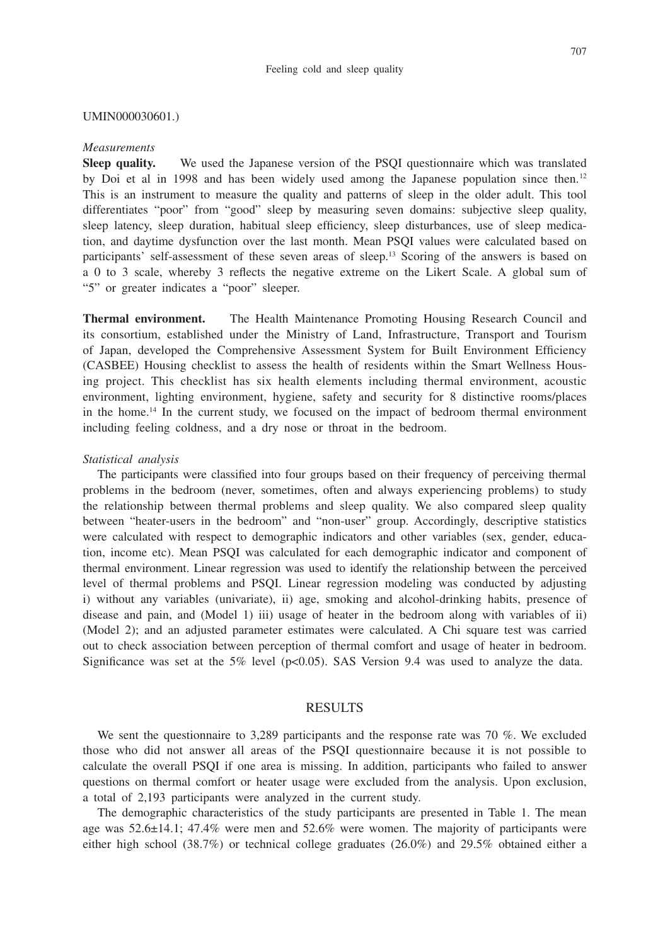#### UMIN000030601.)

#### *Measurements*

**Sleep quality.** We used the Japanese version of the PSQI questionnaire which was translated by Doi et al in 1998 and has been widely used among the Japanese population since then.12 This is an instrument to measure the quality and patterns of sleep in the older adult. This tool differentiates "poor" from "good" sleep by measuring seven domains: subjective sleep quality, sleep latency, sleep duration, habitual sleep efficiency, sleep disturbances, use of sleep medication, and daytime dysfunction over the last month. Mean PSQI values were calculated based on participants' self-assessment of these seven areas of sleep.13 Scoring of the answers is based on a 0 to 3 scale, whereby 3 reflects the negative extreme on the Likert Scale. A global sum of "5" or greater indicates a "poor" sleeper.

**Thermal environment.** The Health Maintenance Promoting Housing Research Council and its consortium, established under the Ministry of Land, Infrastructure, Transport and Tourism of Japan, developed the Comprehensive Assessment System for Built Environment Efficiency (CASBEE) Housing checklist to assess the health of residents within the Smart Wellness Housing project. This checklist has six health elements including thermal environment, acoustic environment, lighting environment, hygiene, safety and security for 8 distinctive rooms/places in the home.<sup>14</sup> In the current study, we focused on the impact of bedroom thermal environment including feeling coldness, and a dry nose or throat in the bedroom.

#### *Statistical analysis*

The participants were classified into four groups based on their frequency of perceiving thermal problems in the bedroom (never, sometimes, often and always experiencing problems) to study the relationship between thermal problems and sleep quality. We also compared sleep quality between "heater-users in the bedroom" and "non-user" group. Accordingly, descriptive statistics were calculated with respect to demographic indicators and other variables (sex, gender, education, income etc). Mean PSQI was calculated for each demographic indicator and component of thermal environment. Linear regression was used to identify the relationship between the perceived level of thermal problems and PSQI. Linear regression modeling was conducted by adjusting i) without any variables (univariate), ii) age, smoking and alcohol-drinking habits, presence of disease and pain, and (Model 1) iii) usage of heater in the bedroom along with variables of ii) (Model 2); and an adjusted parameter estimates were calculated. A Chi square test was carried out to check association between perception of thermal comfort and usage of heater in bedroom. Significance was set at the 5% level ( $p<0.05$ ). SAS Version 9.4 was used to analyze the data.

#### RESULTS

We sent the questionnaire to 3,289 participants and the response rate was 70 %. We excluded those who did not answer all areas of the PSQI questionnaire because it is not possible to calculate the overall PSQI if one area is missing. In addition, participants who failed to answer questions on thermal comfort or heater usage were excluded from the analysis. Upon exclusion, a total of 2,193 participants were analyzed in the current study.

The demographic characteristics of the study participants are presented in Table 1. The mean age was 52.6±14.1; 47.4% were men and 52.6% were women. The majority of participants were either high school (38.7%) or technical college graduates (26.0%) and 29.5% obtained either a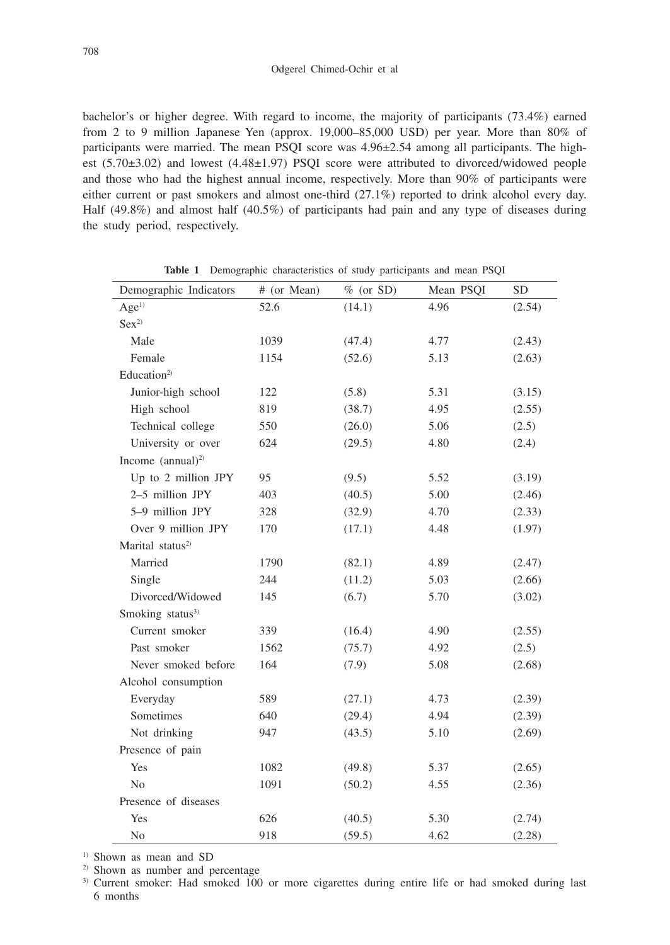bachelor's or higher degree. With regard to income, the majority of participants (73.4%) earned from 2 to 9 million Japanese Yen (approx. 19,000–85,000 USD) per year. More than 80% of participants were married. The mean PSQI score was 4.96±2.54 among all participants. The highest (5.70±3.02) and lowest (4.48±1.97) PSQI score were attributed to divorced/widowed people and those who had the highest annual income, respectively. More than 90% of participants were either current or past smokers and almost one-third (27.1%) reported to drink alcohol every day. Half (49.8%) and almost half (40.5%) of participants had pain and any type of diseases during the study period, respectively.

| Demographic Indicators       | # (or Mean) | $%$ (or SD) | Mean PSQI | SD     |
|------------------------------|-------------|-------------|-----------|--------|
| Age <sup>1</sup>             | 52.6        | (14.1)      | 4.96      | (2.54) |
| Sex <sup>2</sup>             |             |             |           |        |
| Male                         | 1039        | (47.4)      | 4.77      | (2.43) |
| Female                       | 1154        | (52.6)      | 5.13      | (2.63) |
| Education <sup>2)</sup>      |             |             |           |        |
| Junior-high school           | 122         | (5.8)       | 5.31      | (3.15) |
| High school                  | 819         | (38.7)      | 4.95      | (2.55) |
| Technical college            | 550         | (26.0)      | 5.06      | (2.5)  |
| University or over           | 624         | (29.5)      | 4.80      | (2.4)  |
| Income $(annual)^2$          |             |             |           |        |
| Up to 2 million JPY          | 95          | (9.5)       | 5.52      | (3.19) |
| 2-5 million JPY              | 403         | (40.5)      | 5.00      | (2.46) |
| 5-9 million JPY              | 328         | (32.9)      | 4.70      | (2.33) |
| Over 9 million JPY           | 170         | (17.1)      | 4.48      | (1.97) |
| Marital status <sup>2)</sup> |             |             |           |        |
| Married                      | 1790        | (82.1)      | 4.89      | (2.47) |
| Single                       | 244         | (11.2)      | 5.03      | (2.66) |
| Divorced/Widowed             | 145         | (6.7)       | 5.70      | (3.02) |
| Smoking status <sup>3)</sup> |             |             |           |        |
| Current smoker               | 339         | (16.4)      | 4.90      | (2.55) |
| Past smoker                  | 1562        | (75.7)      | 4.92      | (2.5)  |
| Never smoked before          | 164         | (7.9)       | 5.08      | (2.68) |
| Alcohol consumption          |             |             |           |        |
| Everyday                     | 589         | (27.1)      | 4.73      | (2.39) |
| Sometimes                    | 640         | (29.4)      | 4.94      | (2.39) |
| Not drinking                 | 947         | (43.5)      | 5.10      | (2.69) |
| Presence of pain             |             |             |           |        |
| Yes                          | 1082        | (49.8)      | 5.37      | (2.65) |
| N <sub>o</sub>               | 1091        | (50.2)      | 4.55      | (2.36) |
| Presence of diseases         |             |             |           |        |
| Yes                          | 626         | (40.5)      | 5.30      | (2.74) |
| No                           | 918         | (59.5)      | 4.62      | (2.28) |

**Table 1** Demographic characteristics of study participants and mean PSQI

<sup>1)</sup> Shown as mean and SD

2) Shown as number and percentage

<sup>3)</sup> Current smoker: Had smoked 100 or more cigarettes during entire life or had smoked during last 6 months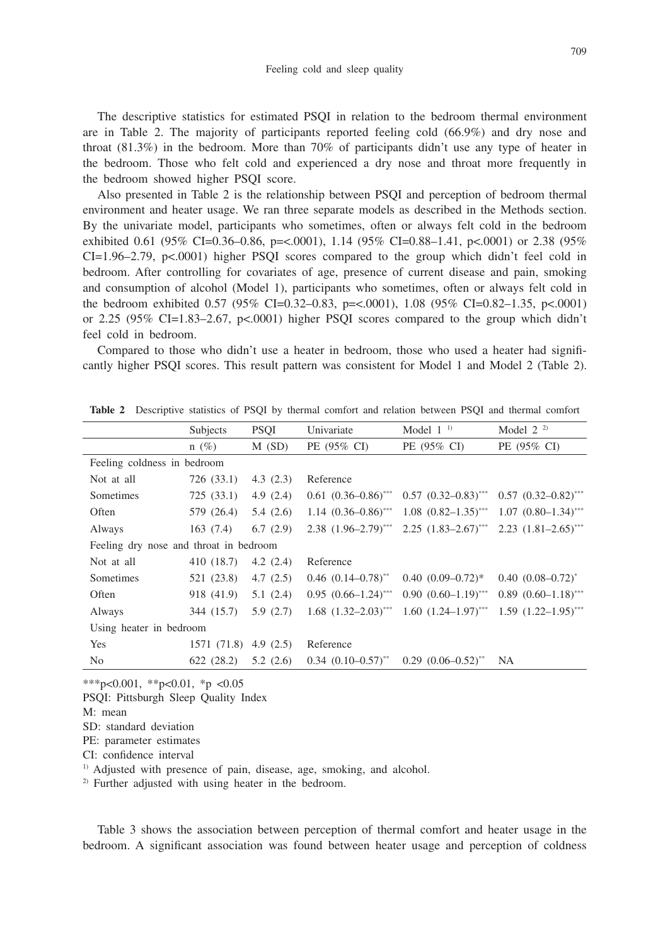The descriptive statistics for estimated PSQI in relation to the bedroom thermal environment are in Table 2. The majority of participants reported feeling cold (66.9%) and dry nose and throat (81.3%) in the bedroom. More than 70% of participants didn't use any type of heater in the bedroom. Those who felt cold and experienced a dry nose and throat more frequently in the bedroom showed higher PSQI score.

Also presented in Table 2 is the relationship between PSQI and perception of bedroom thermal environment and heater usage. We ran three separate models as described in the Methods section. By the univariate model, participants who sometimes, often or always felt cold in the bedroom exhibited 0.61 (95% CI=0.36–0.86, p=<.0001), 1.14 (95% CI=0.88–1.41, p<.0001) or 2.38 (95%  $CI=1.96-2.79$ ,  $p<.0001$ ) higher PSOI scores compared to the group which didn't feel cold in bedroom. After controlling for covariates of age, presence of current disease and pain, smoking and consumption of alcohol (Model 1), participants who sometimes, often or always felt cold in the bedroom exhibited 0.57 (95% CI=0.32–0.83, p=<.0001), 1.08 (95% CI=0.82–1.35, p<.0001) or 2.25 ( $95\%$  CI=1.83–2.67, p<.0001) higher PSQI scores compared to the group which didn't feel cold in bedroom.

Compared to those who didn't use a heater in bedroom, those who used a heater had significantly higher PSQI scores. This result pattern was consistent for Model 1 and Model 2 (Table 2).

|                                        |                | Subjects    | <b>PSQI</b> | Univariate                          | Model $11$                   | Model $2^{2}$                |
|----------------------------------------|----------------|-------------|-------------|-------------------------------------|------------------------------|------------------------------|
|                                        |                | $n(\%)$     | $M$ (SD)    | PE (95% CI)                         | PE (95% CI)                  | PE (95% CI)                  |
| Feeling coldness in bedroom            |                |             |             |                                     |                              |                              |
|                                        | Not at all     | 726 (33.1)  | 4.3 $(2.3)$ | Reference                           |                              |                              |
|                                        | Sometimes      | 725(33.1)   | 4.9(2.4)    | $0.61$ $(0.36-0.86)^{***}$          | $0.57$ $(0.32-0.83)$ ***     | $0.57$ $(0.32 - 0.82)^{***}$ |
|                                        | Often          | 579 (26.4)  | 5.4(2.6)    | $1.14 (0.36 - 0.86)^{***}$          | $1.08$ $(0.82-1.35)$ ***     | $1.07$ $(0.80-1.34)$ ***     |
|                                        | Always         | 163(7.4)    | 6.7(2.9)    | $2.38$ $(1.96-2.79)$ <sup>***</sup> | $2.25$ $(1.83 - 2.67)^{***}$ | $2.23$ $(1.81 - 2.65)^{***}$ |
| Feeling dry nose and throat in bedroom |                |             |             |                                     |                              |                              |
|                                        | Not at all     | 410 (18.7)  | 4.2(2.4)    | Reference                           |                              |                              |
|                                        | Sometimes      | 521 (23.8)  | 4.7(2.5)    | $0.46$ $(0.14 - 0.78)^{**}$         | $0.40(0.09-0.72)$ *          | $0.40(0.08-0.72)^{*}$        |
|                                        | Often          | 918 (41.9)  | 5.1(2.4)    | $0.95$ $(0.66-1.24)$ ***            | $0.90 (0.60 - 1.19)^{***}$   | $0.89$ $(0.60-1.18)$ ***     |
|                                        | Always         | 344 (15.7)  | 5.9(2.7)    | $1.68$ $(1.32-2.03)$ ***            | $1.60$ $(1.24-1.97)$ ***     | $1.59$ $(1.22-1.95)$ ***     |
| Using heater in bedroom                |                |             |             |                                     |                              |                              |
|                                        | Yes            | 1571 (71.8) | 4.9 $(2.5)$ | Reference                           |                              |                              |
|                                        | N <sub>0</sub> | 622 (28.2)  | 5.2(2.6)    | $0.34$ $(0.10-0.57)$ **             | $0.29$ $(0.06-0.52)$ **      | NA                           |
|                                        |                |             |             |                                     |                              |                              |

**Table 2** Descriptive statistics of PSQI by thermal comfort and relation between PSQI and thermal comfort

\*\*\*p<0.001, \*\*p<0.01, \*p <0.05

PSQI: Pittsburgh Sleep Quality Index

SD: standard deviation

PE: parameter estimates

CI: confidence interval

<sup>1)</sup> Adjusted with presence of pain, disease, age, smoking, and alcohol.

2) Further adjusted with using heater in the bedroom.

Table 3 shows the association between perception of thermal comfort and heater usage in the bedroom. A significant association was found between heater usage and perception of coldness

M: mean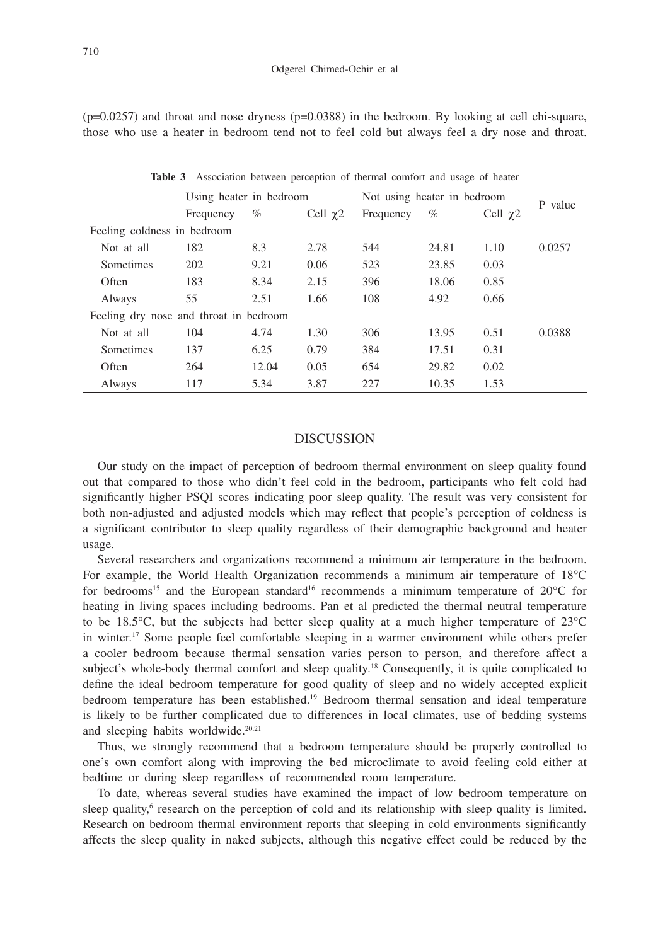$(p=0.0257)$  and throat and nose dryness  $(p=0.0388)$  in the bedroom. By looking at cell chi-square, those who use a heater in bedroom tend not to feel cold but always feel a dry nose and throat.

|                                        | Using heater in bedroom |       | Not using heater in bedroom |           |       |               |         |
|----------------------------------------|-------------------------|-------|-----------------------------|-----------|-------|---------------|---------|
|                                        | Frequency               | %     | Cell $\chi$ 2               | Frequency | $\%$  | Cell $\chi$ 2 | P value |
| Feeling coldness in bedroom            |                         |       |                             |           |       |               |         |
| Not at all                             | 182                     | 8.3   | 2.78                        | 544       | 24.81 | 1.10          | 0.0257  |
| Sometimes                              | 202                     | 9.21  | 0.06                        | 523       | 23.85 | 0.03          |         |
| Often                                  | 183                     | 8.34  | 2.15                        | 396       | 18.06 | 0.85          |         |
| Always                                 | 55                      | 2.51  | 1.66                        | 108       | 4.92  | 0.66          |         |
| Feeling dry nose and throat in bedroom |                         |       |                             |           |       |               |         |
| Not at all                             | 104                     | 4.74  | 1.30                        | 306       | 13.95 | 0.51          | 0.0388  |
| Sometimes                              | 137                     | 6.25  | 0.79                        | 384       | 17.51 | 0.31          |         |
| Often                                  | 264                     | 12.04 | 0.05                        | 654       | 29.82 | 0.02          |         |
| Always                                 | 117                     | 5.34  | 3.87                        | 227       | 10.35 | 1.53          |         |

**Table 3** Association between perception of thermal comfort and usage of heater

## DISCUSSION

Our study on the impact of perception of bedroom thermal environment on sleep quality found out that compared to those who didn't feel cold in the bedroom, participants who felt cold had significantly higher PSQI scores indicating poor sleep quality. The result was very consistent for both non-adjusted and adjusted models which may reflect that people's perception of coldness is a significant contributor to sleep quality regardless of their demographic background and heater usage.

Several researchers and organizations recommend a minimum air temperature in the bedroom. For example, the World Health Organization recommends a minimum air temperature of 18°C for bedrooms<sup>15</sup> and the European standard<sup>16</sup> recommends a minimum temperature of  $20^{\circ}$ C for heating in living spaces including bedrooms. Pan et al predicted the thermal neutral temperature to be 18.5 $^{\circ}$ C, but the subjects had better sleep quality at a much higher temperature of 23 $^{\circ}$ C in winter.17 Some people feel comfortable sleeping in a warmer environment while others prefer a cooler bedroom because thermal sensation varies person to person, and therefore affect a subject's whole-body thermal comfort and sleep quality.<sup>18</sup> Consequently, it is quite complicated to define the ideal bedroom temperature for good quality of sleep and no widely accepted explicit bedroom temperature has been established.19 Bedroom thermal sensation and ideal temperature is likely to be further complicated due to differences in local climates, use of bedding systems and sleeping habits worldwide.<sup>20,21</sup>

Thus, we strongly recommend that a bedroom temperature should be properly controlled to one's own comfort along with improving the bed microclimate to avoid feeling cold either at bedtime or during sleep regardless of recommended room temperature.

To date, whereas several studies have examined the impact of low bedroom temperature on sleep quality,<sup>6</sup> research on the perception of cold and its relationship with sleep quality is limited. Research on bedroom thermal environment reports that sleeping in cold environments significantly affects the sleep quality in naked subjects, although this negative effect could be reduced by the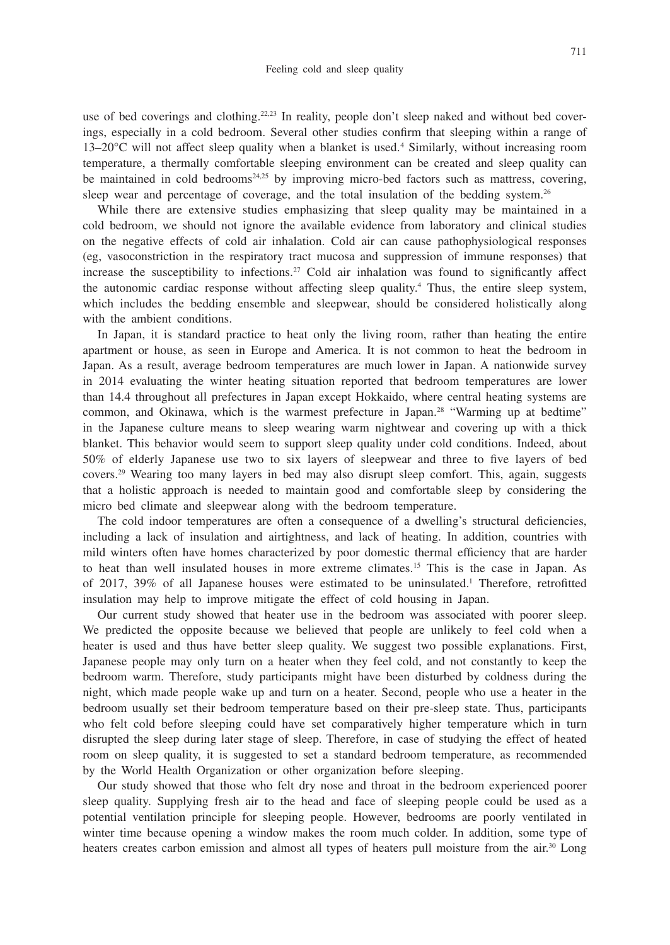use of bed coverings and clothing.<sup>22,23</sup> In reality, people don't sleep naked and without bed coverings, especially in a cold bedroom. Several other studies confirm that sleeping within a range of 13–20°C will not affect sleep quality when a blanket is used.<sup>4</sup> Similarly, without increasing room temperature, a thermally comfortable sleeping environment can be created and sleep quality can be maintained in cold bedrooms<sup>24,25</sup> by improving micro-bed factors such as mattress, covering, sleep wear and percentage of coverage, and the total insulation of the bedding system.<sup>26</sup>

While there are extensive studies emphasizing that sleep quality may be maintained in a cold bedroom, we should not ignore the available evidence from laboratory and clinical studies on the negative effects of cold air inhalation. Cold air can cause pathophysiological responses (eg, vasoconstriction in the respiratory tract mucosa and suppression of immune responses) that increase the susceptibility to infections.<sup>27</sup> Cold air inhalation was found to significantly affect the autonomic cardiac response without affecting sleep quality.<sup>4</sup> Thus, the entire sleep system, which includes the bedding ensemble and sleepwear, should be considered holistically along with the ambient conditions.

In Japan, it is standard practice to heat only the living room, rather than heating the entire apartment or house, as seen in Europe and America. It is not common to heat the bedroom in Japan. As a result, average bedroom temperatures are much lower in Japan. A nationwide survey in 2014 evaluating the winter heating situation reported that bedroom temperatures are lower than 14.4 throughout all prefectures in Japan except Hokkaido, where central heating systems are common, and Okinawa, which is the warmest prefecture in Japan.<sup>28</sup> "Warming up at bedtime" in the Japanese culture means to sleep wearing warm nightwear and covering up with a thick blanket. This behavior would seem to support sleep quality under cold conditions. Indeed, about 50% of elderly Japanese use two to six layers of sleepwear and three to five layers of bed covers.29 Wearing too many layers in bed may also disrupt sleep comfort. This, again, suggests that a holistic approach is needed to maintain good and comfortable sleep by considering the micro bed climate and sleepwear along with the bedroom temperature.

The cold indoor temperatures are often a consequence of a dwelling's structural deficiencies, including a lack of insulation and airtightness, and lack of heating. In addition, countries with mild winters often have homes characterized by poor domestic thermal efficiency that are harder to heat than well insulated houses in more extreme climates.15 This is the case in Japan. As of 2017, 39% of all Japanese houses were estimated to be uninsulated.1 Therefore, retrofitted insulation may help to improve mitigate the effect of cold housing in Japan.

Our current study showed that heater use in the bedroom was associated with poorer sleep. We predicted the opposite because we believed that people are unlikely to feel cold when a heater is used and thus have better sleep quality. We suggest two possible explanations. First, Japanese people may only turn on a heater when they feel cold, and not constantly to keep the bedroom warm. Therefore, study participants might have been disturbed by coldness during the night, which made people wake up and turn on a heater. Second, people who use a heater in the bedroom usually set their bedroom temperature based on their pre-sleep state. Thus, participants who felt cold before sleeping could have set comparatively higher temperature which in turn disrupted the sleep during later stage of sleep. Therefore, in case of studying the effect of heated room on sleep quality, it is suggested to set a standard bedroom temperature, as recommended by the World Health Organization or other organization before sleeping.

Our study showed that those who felt dry nose and throat in the bedroom experienced poorer sleep quality. Supplying fresh air to the head and face of sleeping people could be used as a potential ventilation principle for sleeping people. However, bedrooms are poorly ventilated in winter time because opening a window makes the room much colder. In addition, some type of heaters creates carbon emission and almost all types of heaters pull moisture from the air.<sup>30</sup> Long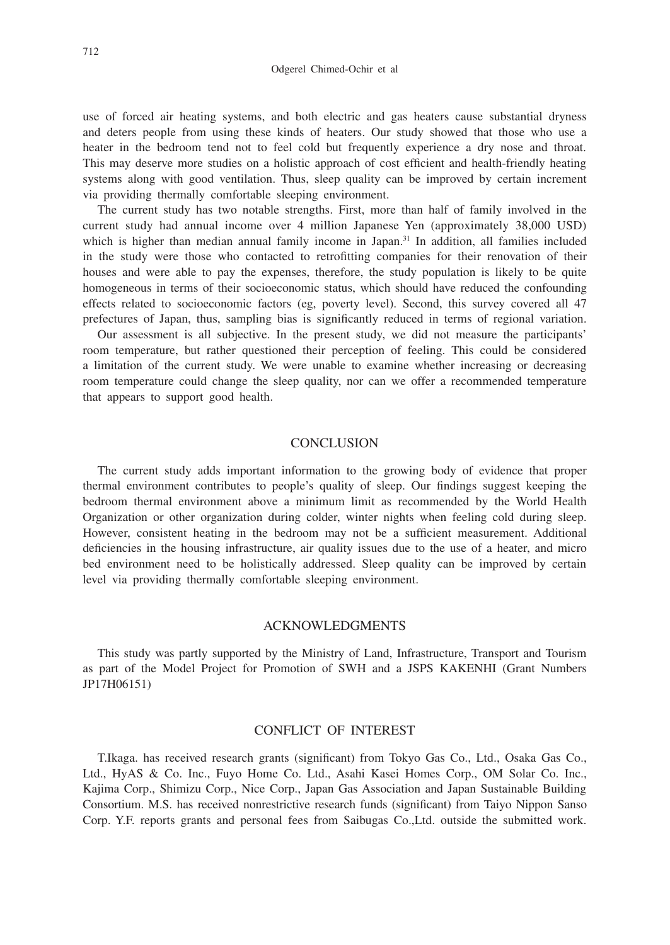use of forced air heating systems, and both electric and gas heaters cause substantial dryness and deters people from using these kinds of heaters. Our study showed that those who use a heater in the bedroom tend not to feel cold but frequently experience a dry nose and throat. This may deserve more studies on a holistic approach of cost efficient and health-friendly heating systems along with good ventilation. Thus, sleep quality can be improved by certain increment via providing thermally comfortable sleeping environment.

The current study has two notable strengths. First, more than half of family involved in the current study had annual income over 4 million Japanese Yen (approximately 38,000 USD) which is higher than median annual family income in Japan.<sup>31</sup> In addition, all families included in the study were those who contacted to retrofitting companies for their renovation of their houses and were able to pay the expenses, therefore, the study population is likely to be quite homogeneous in terms of their socioeconomic status, which should have reduced the confounding effects related to socioeconomic factors (eg, poverty level). Second, this survey covered all 47 prefectures of Japan, thus, sampling bias is significantly reduced in terms of regional variation.

Our assessment is all subjective. In the present study, we did not measure the participants' room temperature, but rather questioned their perception of feeling. This could be considered a limitation of the current study. We were unable to examine whether increasing or decreasing room temperature could change the sleep quality, nor can we offer a recommended temperature that appears to support good health.

#### **CONCLUSION**

The current study adds important information to the growing body of evidence that proper thermal environment contributes to people's quality of sleep. Our findings suggest keeping the bedroom thermal environment above a minimum limit as recommended by the World Health Organization or other organization during colder, winter nights when feeling cold during sleep. However, consistent heating in the bedroom may not be a sufficient measurement. Additional deficiencies in the housing infrastructure, air quality issues due to the use of a heater, and micro bed environment need to be holistically addressed. Sleep quality can be improved by certain level via providing thermally comfortable sleeping environment.

## ACKNOWLEDGMENTS

This study was partly supported by the Ministry of Land, Infrastructure, Transport and Tourism as part of the Model Project for Promotion of SWH and a JSPS KAKENHI (Grant Numbers JP17H06151)

#### CONFLICT OF INTEREST

T.Ikaga. has received research grants (significant) from Tokyo Gas Co., Ltd., Osaka Gas Co., Ltd., HyAS & Co. Inc., Fuyo Home Co. Ltd., Asahi Kasei Homes Corp., OM Solar Co. Inc., Kajima Corp., Shimizu Corp., Nice Corp., Japan Gas Association and Japan Sustainable Building Consortium. M.S. has received nonrestrictive research funds (significant) from Taiyo Nippon Sanso Corp. Y.F. reports grants and personal fees from Saibugas Co.,Ltd. outside the submitted work.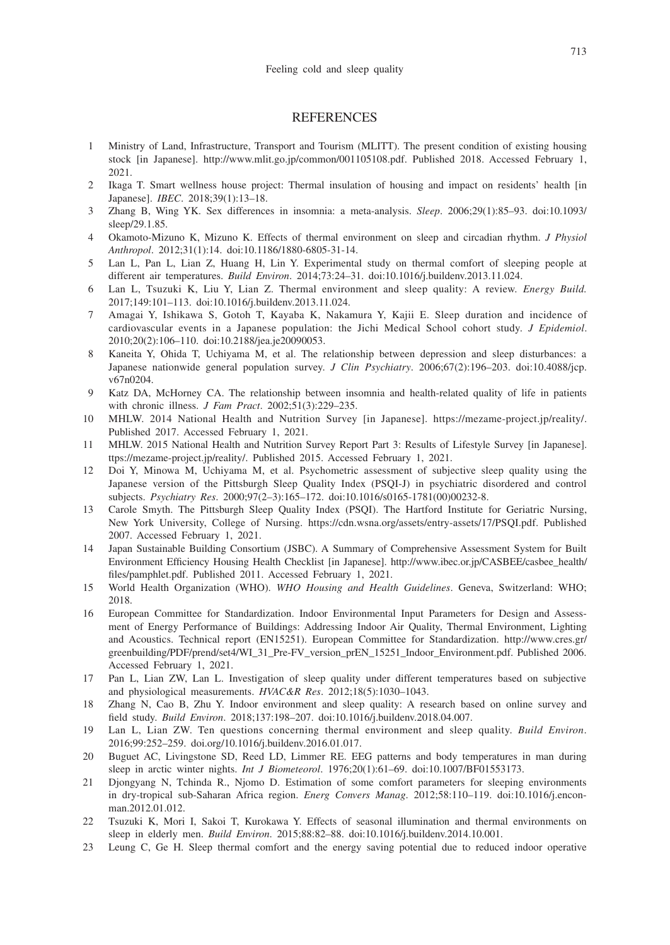#### **REFERENCES**

- 1 Ministry of Land, Infrastructure, Transport and Tourism (MLITT). The present condition of existing housing stock [in Japanese]. http://www.mlit.go.jp/common/001105108.pdf. Published 2018. Accessed February 1, 2021.
- 2 Ikaga T. Smart wellness house project: Thermal insulation of housing and impact on residents' health [in Japanese]. *IBEC*. 2018;39(1):13–18.
- 3 Zhang B, Wing YK. Sex differences in insomnia: a meta-analysis. *Sleep*. 2006;29(1):85–93. doi:10.1093/ sleep/29.1.85.
- 4 Okamoto-Mizuno K, Mizuno K. Effects of thermal environment on sleep and circadian rhythm. *J Physiol Anthropol*. 2012;31(1):14. doi:10.1186/1880-6805-31-14.
- 5 Lan L, Pan L, Lian Z, Huang H, Lin Y. Experimental study on thermal comfort of sleeping people at different air temperatures. *Build Environ*. 2014;73:24–31. doi:10.1016/j.buildenv.2013.11.024.
- 6 Lan L, Tsuzuki K, Liu Y, Lian Z. Thermal environment and sleep quality: A review. *Energy Build.* 2017;149:101–113. doi:10.1016/j.buildenv.2013.11.024.
- 7 Amagai Y, Ishikawa S, Gotoh T, Kayaba K, Nakamura Y, Kajii E. Sleep duration and incidence of cardiovascular events in a Japanese population: the Jichi Medical School cohort study. *J Epidemiol*. 2010;20(2):106–110. doi:10.2188/jea.je20090053.
- 8 Kaneita Y, Ohida T, Uchiyama M, et al. The relationship between depression and sleep disturbances: a Japanese nationwide general population survey. *J Clin Psychiatry*. 2006;67(2):196–203. doi:10.4088/jcp. v67n0204.
- 9 Katz DA, McHorney CA. The relationship between insomnia and health-related quality of life in patients with chronic illness. *J Fam Pract*. 2002;51(3):229–235.
- 10 MHLW. 2014 National Health and Nutrition Survey [in Japanese]. https://mezame-project.jp/reality/. Published 2017. Accessed February 1, 2021.
- 11 MHLW. 2015 National Health and Nutrition Survey Report Part 3: Results of Lifestyle Survey [in Japanese]. ttps://mezame-project.jp/reality/. Published 2015. Accessed February 1, 2021.
- 12 Doi Y, Minowa M, Uchiyama M, et al. Psychometric assessment of subjective sleep quality using the Japanese version of the Pittsburgh Sleep Quality Index (PSQI-J) in psychiatric disordered and control subjects. *Psychiatry Res*. 2000;97(2–3):165–172. doi:10.1016/s0165-1781(00)00232-8.
- 13 Carole Smyth. The Pittsburgh Sleep Quality Index (PSQI). The Hartford Institute for Geriatric Nursing, New York University, College of Nursing. https://cdn.wsna.org/assets/entry-assets/17/PSQI.pdf. Published 2007. Accessed February 1, 2021.
- 14 Japan Sustainable Building Consortium (JSBC). A Summary of Comprehensive Assessment System for Built Environment Efficiency Housing Health Checklist [in Japanese]. http://www.ibec.or.jp/CASBEE/casbee\_health/ files/pamphlet.pdf. Published 2011. Accessed February 1, 2021.
- 15 World Health Organization (WHO). *WHO Housing and Health Guidelines*. Geneva, Switzerland: WHO; 2018.
- 16 European Committee for Standardization. Indoor Environmental Input Parameters for Design and Assessment of Energy Performance of Buildings: Addressing Indoor Air Quality, Thermal Environment, Lighting and Acoustics. Technical report (EN15251). European Committee for Standardization. http://www.cres.gr/ greenbuilding/PDF/prend/set4/WI\_31\_Pre-FV\_version\_prEN\_15251\_Indoor\_Environment.pdf. Published 2006. Accessed February 1, 2021.
- 17 Pan L, Lian ZW, Lan L. Investigation of sleep quality under different temperatures based on subjective and physiological measurements. *HVAC&R Res*. 2012;18(5):1030–1043.
- 18 Zhang N, Cao B, Zhu Y. Indoor environment and sleep quality: A research based on online survey and field study. *Build Environ*. 2018;137:198–207. doi:10.1016/j.buildenv.2018.04.007.
- 19 Lan L, Lian ZW. Ten questions concerning thermal environment and sleep quality. *Build Environ*. 2016;99:252–259. doi.org/10.1016/j.buildenv.2016.01.017.
- 20 Buguet AC, Livingstone SD, Reed LD, Limmer RE. EEG patterns and body temperatures in man during sleep in arctic winter nights. *Int J Biometeorol*. 1976;20(1):61–69. doi:10.1007/BF01553173.
- 21 Djongyang N, Tchinda R., Njomo D. Estimation of some comfort parameters for sleeping environments in dry-tropical sub-Saharan Africa region. *Energ Convers Manag*. 2012;58:110–119. doi:10.1016/j.enconman.2012.01.012.
- 22 Tsuzuki K, Mori I, Sakoi T, Kurokawa Y. Effects of seasonal illumination and thermal environments on sleep in elderly men. *Build Environ*. 2015;88:82–88. doi:10.1016/j.buildenv.2014.10.001.
- 23 Leung C, Ge H. Sleep thermal comfort and the energy saving potential due to reduced indoor operative